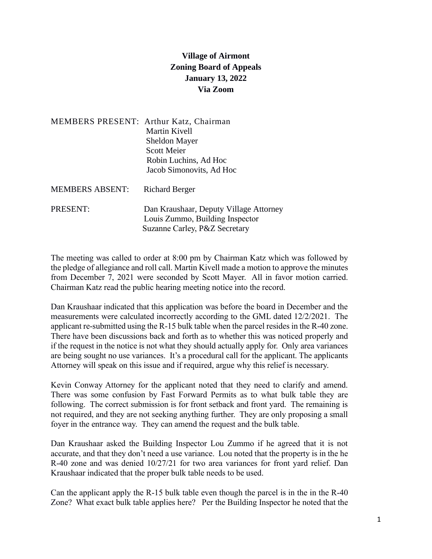## **Village of Airmont Zoning Board of Appeals January 13, 2022 Via Zoom**

| MEMBERS PRESENT: Arthur Katz, Chairman | Martin Kivell<br><b>Sheldon Mayer</b><br><b>Scott Meier</b><br>Robin Luchins, Ad Hoc<br>Jacob Simonovits, Ad Hoc |
|----------------------------------------|------------------------------------------------------------------------------------------------------------------|
| <b>MEMBERS ABSENT:</b>                 | <b>Richard Berger</b>                                                                                            |
| PRESENT:                               | Dan Kraushaar, Deputy Village Attorney<br>Louis Zummo, Building Inspector<br>Suzanne Carley, P&Z Secretary       |

The meeting was called to order at 8:00 pm by Chairman Katz which was followed by the pledge of allegiance and roll call. Martin Kivell made a motion to approve the minutes from December 7, 2021 were seconded by Scott Mayer. All in favor motion carried. Chairman Katz read the public hearing meeting notice into the record.

Dan Kraushaar indicated that this application was before the board in December and the measurements were calculated incorrectly according to the GML dated 12/2/2021. The applicant re-submitted using the R-15 bulk table when the parcel resides in the R-40 zone. There have been discussions back and forth as to whether this was noticed properly and if the request in the notice is not what they should actually apply for. Only area variances are being sought no use variances. It's a procedural call for the applicant. The applicants Attorney will speak on this issue and if required, argue why this relief is necessary.

Kevin Conway Attorney for the applicant noted that they need to clarify and amend. There was some confusion by Fast Forward Permits as to what bulk table they are following. The correct submission is for front setback and front yard. The remaining is not required, and they are not seeking anything further. They are only proposing a small foyer in the entrance way. They can amend the request and the bulk table.

Dan Kraushaar asked the Building Inspector Lou Zummo if he agreed that it is not accurate, and that they don't need a use variance. Lou noted that the property is in the he R-40 zone and was denied 10/27/21 for two area variances for front yard relief. Dan Kraushaar indicated that the proper bulk table needs to be used.

Can the applicant apply the R-15 bulk table even though the parcel is in the in the R-40 Zone? What exact bulk table applies here? Per the Building Inspector he noted that the